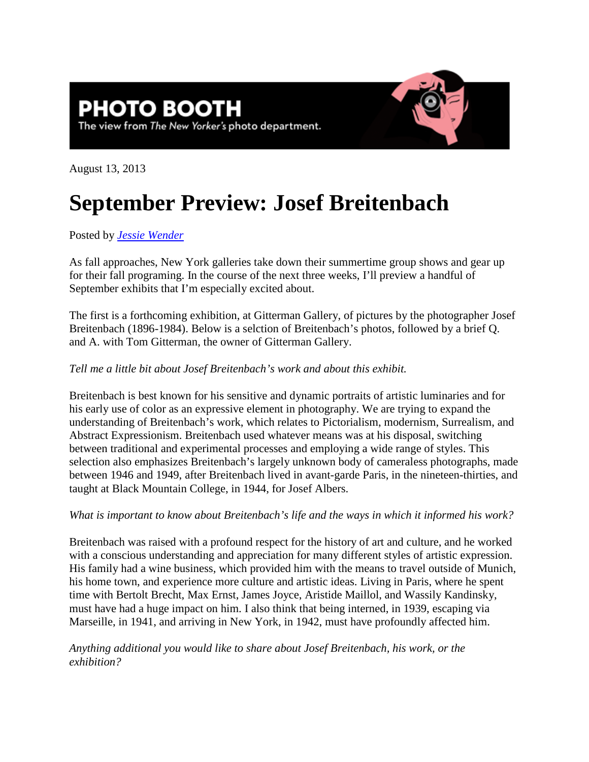## **PHOTO BOOTH** The view from The New Yorker's photo department.



August 13, 2013

## **September Preview: Josef Breitenbach**

Posted by *[Jessie Wender](http://www.newyorker.com/magazine/bios/jessie_wender/search?contributorName=Jessie%20Wender)*

As fall approaches, New York galleries take down their summertime group shows and gear up for their fall programing. In the course of the next three weeks, I'll preview a handful of September exhibits that I'm especially excited about.

The first is a forthcoming exhibition, at Gitterman Gallery, of pictures by the photographer Josef Breitenbach (1896-1984). Below is a selction of Breitenbach's photos, followed by a brief Q. and A. with Tom Gitterman, the owner of Gitterman Gallery.

## *Tell me a little bit about Josef Breitenbach's work and about this exhibit.*

Breitenbach is best known for his sensitive and dynamic portraits of artistic luminaries and for his early use of color as an expressive element in photography. We are trying to expand the understanding of Breitenbach's work, which relates to Pictorialism, modernism, Surrealism, and Abstract Expressionism. Breitenbach used whatever means was at his disposal, switching between traditional and experimental processes and employing a wide range of styles. This selection also emphasizes Breitenbach's largely unknown body of cameraless photographs, made between 1946 and 1949, after Breitenbach lived in avant-garde Paris, in the nineteen-thirties, and taught at Black Mountain College, in 1944, for Josef Albers.

## *What is important to know about Breitenbach's life and the ways in which it informed his work?*

Breitenbach was raised with a profound respect for the history of art and culture, and he worked with a conscious understanding and appreciation for many different styles of artistic expression. His family had a wine business, which provided him with the means to travel outside of Munich, his home town, and experience more culture and artistic ideas. Living in Paris, where he spent time with Bertolt Brecht, Max Ernst, James Joyce, Aristide Maillol, and Wassily Kandinsky, must have had a huge impact on him. I also think that being interned, in 1939, escaping via Marseille, in 1941, and arriving in New York, in 1942, must have profoundly affected him.

*Anything additional you would like to share about Josef Breitenbach, his work, or the exhibition?*